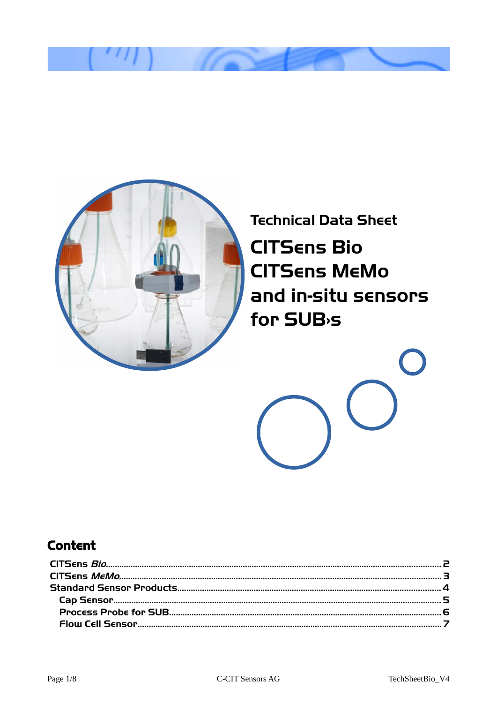

**Technical Data Sheet CITSENS Bio CITSENS MEMO** and in-situ sensors for SUB<sub>'</sub>s

# **Content**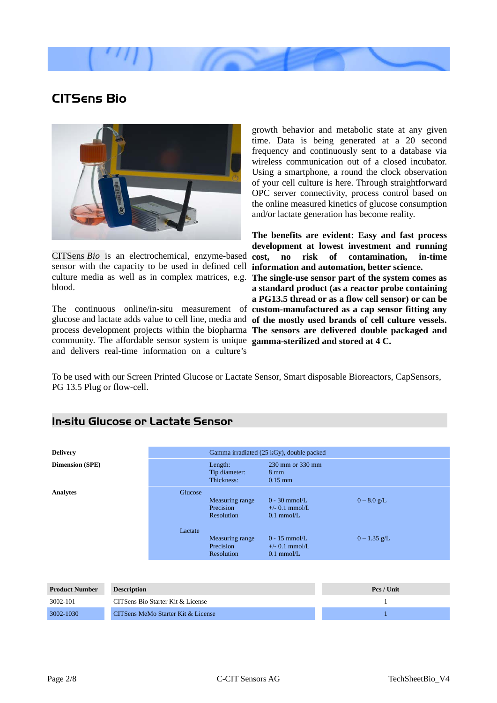

# <span id="page-1-0"></span>**CITSens Bio**



CITSens *Bio* is an electrochemical, enzyme-based **cost, no risk of contamination, in-time** sensor with the capacity to be used in defined cell culture media as well as in complex matrices, e.g. **The single-use sensor part of the system comes as** blood.

The continuous online/in-situ measurement of **custom-manufactured as a cap sensor fitting any** glucose and lactate adds value to cell line, media and **of the mostly used brands of cell culture vessels.** process development projects within the biopharma **The sensors are delivered double packaged and** community. The affordable sensor system is unique **gamma-sterilized and stored at 4 C.**  and delivers real-time information on a culture's

growth behavior and metabolic state at any given time. Data is being generated at a 20 second frequency and continuously sent to a database via wireless communication out of a closed incubator. Using a smartphone, a round the clock observation of your cell culture is here. Through straightforward OPC server connectivity, process control based on the online measured kinetics of glucose consumption and/or lactate generation has become reality.

**The benefits are evident: Easy and fast process development at lowest investment and running information and automation, better science. a standard product (as a reactor probe containing a PG13.5 thread or as a flow cell sensor) or can be**

To be used with our Screen Printed Glucose or Lactate Sensor, Smart disposable Bioreactors, CapSensors, PG 13.5 Plug or flow-cell.

| Delivery               | Gamma irradiated (25 kGy), double packed |                                      |                                                     |                |
|------------------------|------------------------------------------|--------------------------------------|-----------------------------------------------------|----------------|
| <b>Dimension (SPE)</b> | Length:                                  | Tip diameter:<br>Thickness:          | 230 mm or 330 mm<br>$8 \text{ mm}$<br>$0.15$ mm     |                |
| Analytes               | Glucose<br>Precision                     | <b>Measuring range</b><br>Resolution | $0 - 30$ mmol/L<br>$+/- 0.1$ mmol/L<br>$0.1$ mmol/L | $0 - 8.0$ g/L  |
|                        | Lactate<br>Precision                     | Measuring range<br>Resolution        | $0 - 15$ mmol/L<br>$+/-$ 0.1 mmol/L<br>$0.1$ mmol/L | $0 - 1.35$ g/L |
|                        |                                          |                                      |                                                     |                |

### **In-situ Glucose or Lactate Sensor**

| <b>Product Number</b> | <b>Description</b>                 | Pcs / Unit |
|-----------------------|------------------------------------|------------|
| 3002-101              | CITSens Bio Starter Kit & License  |            |
| 3002-1030             | CITSens MeMo Starter Kit & License |            |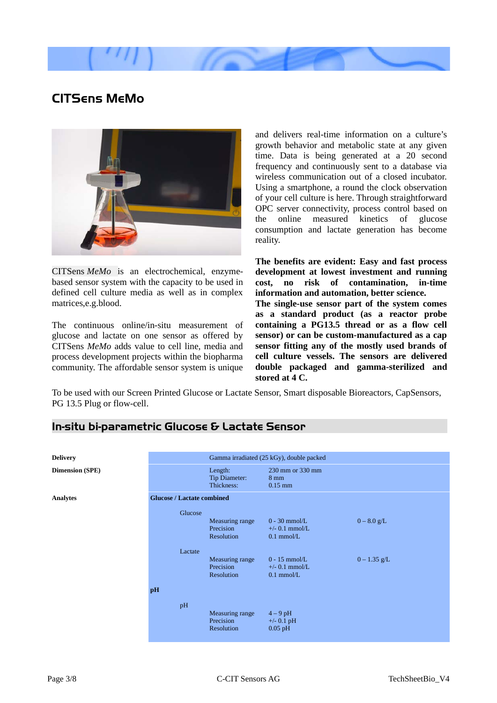

# <span id="page-2-0"></span>**CITSens MeMo**



CITSens *MeMo* is an electrochemical, enzymebased sensor system with the capacity to be used in defined cell culture media as well as in complex matrices,e.g.blood.

The continuous online/in-situ measurement of glucose and lactate on one sensor as offered by CITSens *MeMo* adds value to cell line, media and process development projects within the biopharma community. The affordable sensor system is unique

and delivers real-time information on a culture's growth behavior and metabolic state at any given time. Data is being generated at a 20 second frequency and continuously sent to a database via wireless communication out of a closed incubator. Using a smartphone, a round the clock observation of your cell culture is here. Through straightforward OPC server connectivity, process control based on the online measured kinetics of glucose consumption and lactate generation has become reality.

**The benefits are evident: Easy and fast process development at lowest investment and running cost, no risk of contamination, in-time information and automation, better science.** 

**The single-use sensor part of the system comes as a standard product (as a reactor probe containing a PG13.5 thread or as a flow cell sensor) or can be custom-manufactured as a cap sensor fitting any of the mostly used brands of cell culture vessels. The sensors are delivered double packaged and gamma-sterilized and stored at 4 C.**

To be used with our Screen Printed Glucose or Lactate Sensor, Smart disposable Bioreactors, CapSensors, PG 13.5 Plug or flow-cell.

|          | Length:<br>Tip Diameter:<br>Thickness:     | 230 mm or 330 mm<br>$8 \text{ mm}$<br>$0.15$ mm     |                                          |
|----------|--------------------------------------------|-----------------------------------------------------|------------------------------------------|
|          |                                            |                                                     |                                          |
| Glucose  | Measuring range<br>Precision<br>Resolution | $0 - 30$ mmol/L<br>$+/-$ 0.1 mmol/L<br>$0.1$ mmol/L | $0 - 8.0$ g/L                            |
| Lactate  | Measuring range<br>Precision<br>Resolution | $0 - 15$ mmol/L<br>$+/-$ 0.1 mmol/L<br>$0.1$ mmol/L | $0 - 1.35$ g/L                           |
| pH<br>pH | Measuring range<br>Precision<br>Resolution | $4-9$ pH<br>$+/-$ 0.1 pH<br>$0.05$ pH               |                                          |
|          |                                            | <b>Glucose / Lactate combined</b>                   | Gamma irradiated (25 kGy), double packed |

## **In-situ bi-parametric Glucose & Lactate Sensor**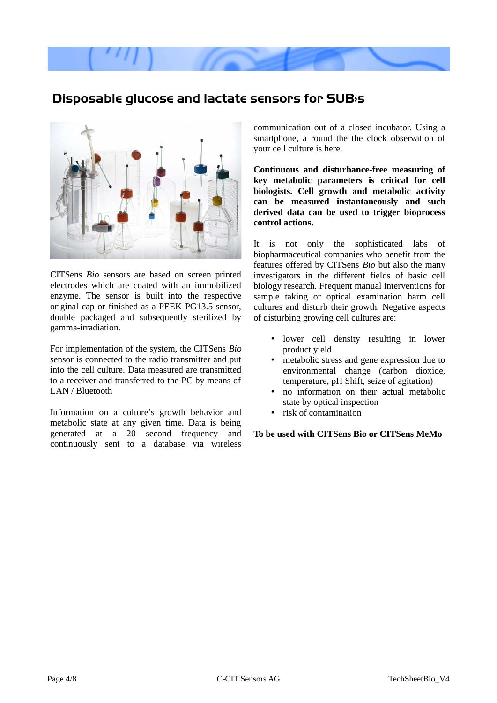

## <span id="page-3-0"></span>**Disposable glucose and lactate sensors for SUB›s**



CITSens *Bio* sensors are based on screen printed electrodes which are coated with an immobilized enzyme. The sensor is built into the respective original cap or finished as a PEEK PG13.5 sensor, double packaged and subsequently sterilized by gamma-irradiation.

For implementation of the system, the CITSens *Bio* sensor is connected to the radio transmitter and put into the cell culture. Data measured are transmitted to a receiver and transferred to the PC by means of LAN / Bluetooth

Information on a culture's growth behavior and metabolic state at any given time. Data is being generated at a 20 second frequency and continuously sent to a database via wireless

communication out of a closed incubator. Using a smartphone, a round the the clock observation of your cell culture is here.

**Continuous and disturbance-free measuring of key metabolic parameters is critical for cell biologists. Cell growth and metabolic activity can be measured instantaneously and such derived data can be used to trigger bioprocess control actions.**

It is not only the sophisticated labs of biopharmaceutical companies who benefit from the features offered by CITSens *Bio* but also the many investigators in the different fields of basic cell biology research. Frequent manual interventions for sample taking or optical examination harm cell cultures and disturb their growth. Negative aspects of disturbing growing cell cultures are:

- lower cell density resulting in lower product yield
- metabolic stress and gene expression due to environmental change (carbon dioxide, temperature, pH Shift, seize of agitation)
- no information on their actual metabolic state by optical inspection
- risk of contamination

**To be used with CITSens Bio or CITSens MeMo**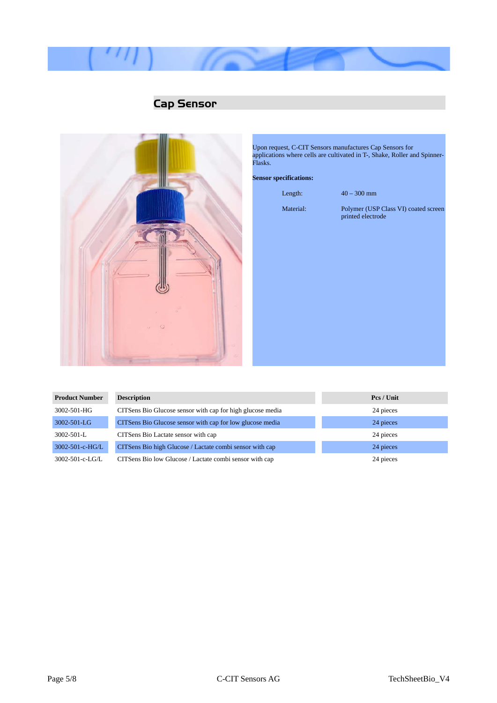

# <span id="page-4-0"></span>**Cap Sensor**



Upon request, C-CIT Sensors manufactures Cap Sensors for applications where cells are cultivated in T-, Shake, Roller and Spinner-Flasks.

#### **Sensor specifications:**

Length: 40 – 300 mm

Material: Polymer (USP Class VI) coated screen printed electrode

| <b>Product Number</b> | <b>Description</b>                                         | Pcs / Unit |
|-----------------------|------------------------------------------------------------|------------|
| 3002-501-HG           | CITSens Bio Glucose sensor with cap for high glucose media | 24 pieces  |
| 3002-501-LG           | CITSens Bio Glucose sensor with cap for low glucose media  | 24 pieces  |
| 3002-501-L            | CITSens Bio Lactate sensor with cap                        | 24 pieces  |
| 3002-501-c-HG/L       | CITSens Bio high Glucose / Lactate combi sensor with cap   | 24 pieces  |
| 3002-501-c-LG/L       | CITSens Bio low Glucose / Lactate combi sensor with cap    | 24 pieces  |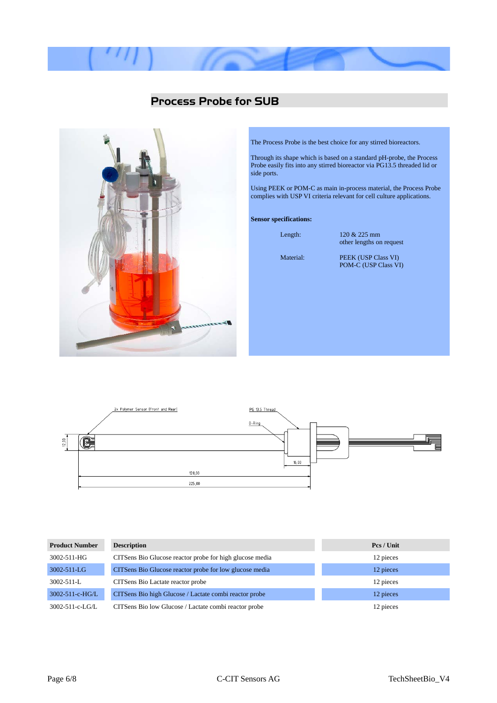

### <span id="page-5-0"></span>**Process Probe for SUB**



The Process Probe is the best choice for any stirred bioreactors.

Through its shape which is based on a standard pH-probe, the Process Probe easily fits into any stirred bioreactor via PG13.5 threaded lid or side ports.

Using PEEK or POM-C as main in-process material, the Process Probe complies with USP VI criteria relevant for cell culture applications.

#### **Sensor specifications:**

Length: 120 & 225 mm other lengths on request

Material: PEEK (USP Class VI) POM-C (USP Class VI)



| <b>Product Number</b> | <b>Description</b>                                       | Pcs / Unit |
|-----------------------|----------------------------------------------------------|------------|
| 3002-511-HG           | CITSens Bio Glucose reactor probe for high glucose media | 12 pieces  |
| 3002-511-LG           | CITSens Bio Glucose reactor probe for low glucose media  | 12 pieces  |
| 3002-511-L            | CITSens Bio Lactate reactor probe                        | 12 pieces  |
| 3002-511-c-HG/L       | CITSens Bio high Glucose / Lactate combi reactor probe   | 12 pieces  |
| 3002-511-c-LG/L       | CITSens Bio low Glucose / Lactate combi reactor probe    | 12 pieces  |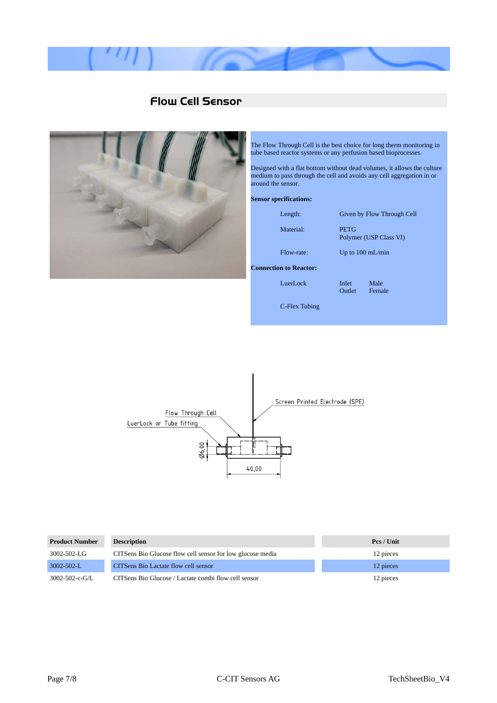

## <span id="page-6-0"></span>**Flow Cell Sensor**



The Flow Through Cell is the best choice for long therm monitoring in tube based reactor systems or any perfusion based bioprocesses.

Designed with a flat bottom without dead volumes, it allows the culture medium to pass through the cell and avoids any cell aggregation in or around the sensor.

#### **Sensor specifications:**

| Length:                       |                        | Given by Flow Through Cell |
|-------------------------------|------------------------|----------------------------|
| Material:                     | <b>PETG</b>            | Polymer (USP Class VI)     |
| Flow-rate:                    |                        | Up to $100 \text{ mL/min}$ |
| <b>Connection to Reactor:</b> |                        |                            |
| LuerLock                      | <b>Inlet</b><br>Outlet | Male<br>Female             |
| C-Flex Tubing                 |                        |                            |



| <b>Product Number</b>  | <b>Description</b>                                         | Pcs / Unit |
|------------------------|------------------------------------------------------------|------------|
| 3002-502-LG            | CITSens Bio Glucose flow cell sensor for low glucose media | 12 pieces  |
| $3002 - 502 - L$       | CITSens Bio Lactate flow cell sensor                       | 12 pieces  |
| $3002 - 502 - c - G/I$ | CITSens Bio Glucose / Lactate combi flow cell sensor       | 12 pieces  |